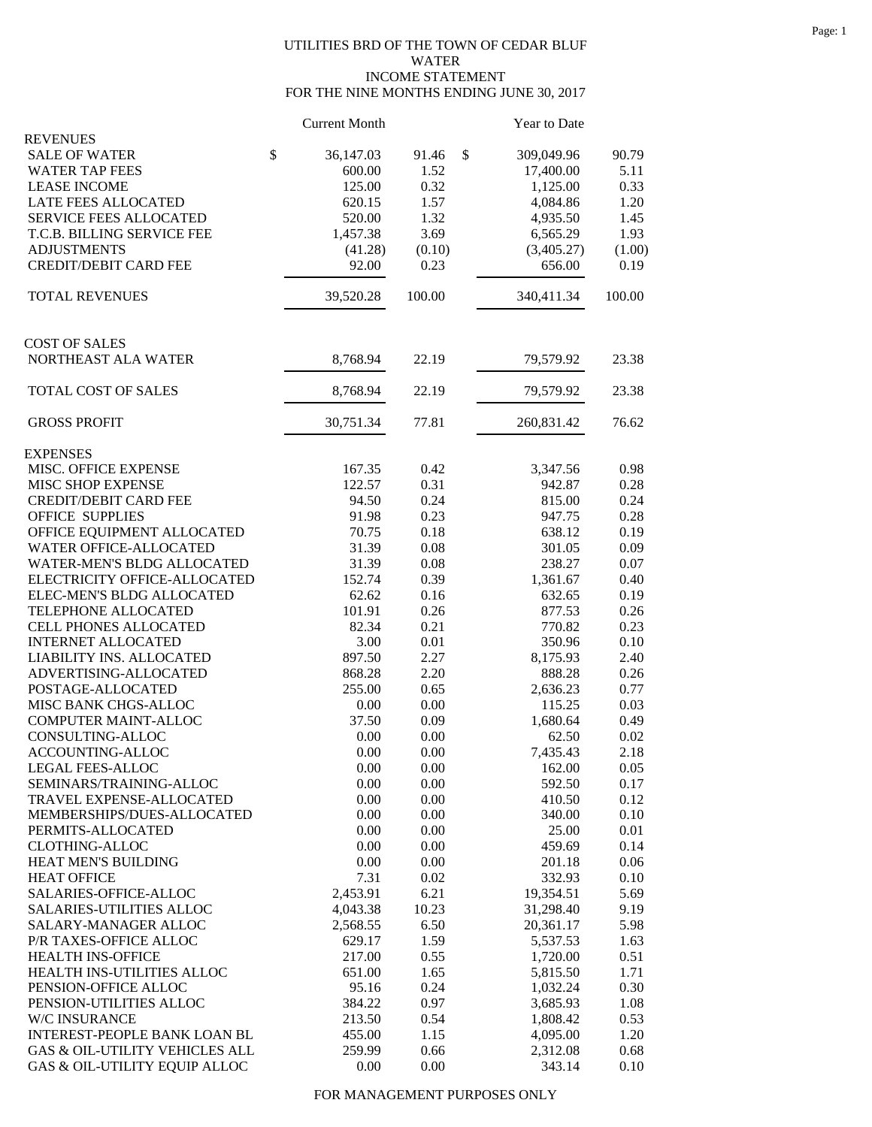## UTILITIES BRD OF THE TOWN OF CEDAR BLUF WATER INCOME STATEMENT FOR THE NINE MONTHS ENDING JUNE 30, 2017

|                                                 | <b>Current Month</b> |              | Year to Date     |              |
|-------------------------------------------------|----------------------|--------------|------------------|--------------|
| <b>REVENUES</b>                                 |                      |              |                  |              |
| \$<br><b>SALE OF WATER</b>                      | 36,147.03            | \$<br>91.46  | 309,049.96       | 90.79        |
| <b>WATER TAP FEES</b>                           | 600.00               | 1.52         | 17,400.00        | 5.11         |
| <b>LEASE INCOME</b>                             | 125.00               | 0.32         | 1,125.00         | 0.33         |
| LATE FEES ALLOCATED                             | 620.15               | 1.57         | 4,084.86         | 1.20         |
| SERVICE FEES ALLOCATED                          | 520.00               | 1.32         | 4,935.50         | 1.45         |
| T.C.B. BILLING SERVICE FEE                      | 1,457.38             | 3.69         | 6,565.29         | 1.93         |
| <b>ADJUSTMENTS</b>                              | (41.28)              | (0.10)       | (3,405.27)       | (1.00)       |
| <b>CREDIT/DEBIT CARD FEE</b>                    | 92.00                | 0.23         | 656.00           | 0.19         |
| <b>TOTAL REVENUES</b>                           | 39,520.28            | 100.00       | 340,411.34       | 100.00       |
| <b>COST OF SALES</b>                            |                      |              |                  |              |
| NORTHEAST ALA WATER                             | 8,768.94             | 22.19        | 79,579.92        | 23.38        |
| TOTAL COST OF SALES                             | 8,768.94             | 22.19        | 79,579.92        | 23.38        |
| <b>GROSS PROFIT</b>                             | 30,751.34            | 77.81        | 260,831.42       | 76.62        |
| <b>EXPENSES</b>                                 |                      |              |                  |              |
| MISC. OFFICE EXPENSE                            | 167.35               | 0.42         | 3,347.56         | 0.98         |
| MISC SHOP EXPENSE                               | 122.57               | 0.31         | 942.87           | 0.28         |
| <b>CREDIT/DEBIT CARD FEE</b>                    | 94.50                | 0.24         | 815.00           | 0.24         |
| <b>OFFICE SUPPLIES</b>                          | 91.98                | 0.23         | 947.75           | 0.28         |
| OFFICE EQUIPMENT ALLOCATED                      | 70.75                | 0.18         | 638.12           | 0.19         |
| WATER OFFICE-ALLOCATED                          | 31.39                | 0.08         | 301.05           | 0.09         |
| WATER-MEN'S BLDG ALLOCATED                      | 31.39                | 0.08         | 238.27           | 0.07         |
| ELECTRICITY OFFICE-ALLOCATED                    | 152.74               | 0.39         | 1,361.67         | 0.40         |
| ELEC-MEN'S BLDG ALLOCATED                       | 62.62                | 0.16         | 632.65           | 0.19         |
| TELEPHONE ALLOCATED                             | 101.91               | 0.26         | 877.53           | 0.26         |
| CELL PHONES ALLOCATED                           | 82.34                | 0.21         | 770.82           | 0.23         |
| <b>INTERNET ALLOCATED</b>                       | 3.00                 | 0.01         | 350.96           | 0.10         |
| LIABILITY INS. ALLOCATED                        | 897.50               | 2.27         | 8,175.93         | 2.40         |
| ADVERTISING-ALLOCATED                           | 868.28               | 2.20         | 888.28           | 0.26         |
| POSTAGE-ALLOCATED                               | 255.00               | 0.65         | 2,636.23         | 0.77         |
| MISC BANK CHGS-ALLOC                            | 0.00                 | 0.00         | 115.25           | 0.03         |
| COMPUTER MAINT-ALLOC                            | 37.50                | 0.09         | 1,680.64         | 0.49         |
| CONSULTING-ALLOC                                | 0.00                 | 0.00         | 62.50            | 0.02         |
| ACCOUNTING-ALLOC                                | 0.00                 | $0.00\,$     | 7,435.43         | 2.18         |
| LEGAL FEES-ALLOC                                | 0.00                 | 0.00         | 162.00           | 0.05         |
| SEMINARS/TRAINING-ALLOC                         | 0.00                 | 0.00         | 592.50           | 0.17         |
| TRAVEL EXPENSE-ALLOCATED                        | 0.00                 | 0.00         | 410.50           | 0.12         |
| MEMBERSHIPS/DUES-ALLOCATED<br>PERMITS-ALLOCATED | 0.00                 | 0.00         | 340.00           | 0.10         |
| <b>CLOTHING-ALLOC</b>                           | 0.00<br>0.00         | 0.00<br>0.00 | 25.00            | 0.01<br>0.14 |
| HEAT MEN'S BUILDING                             | 0.00                 | 0.00         | 459.69<br>201.18 | 0.06         |
| <b>HEAT OFFICE</b>                              | 7.31                 | 0.02         | 332.93           | 0.10         |
| SALARIES-OFFICE-ALLOC                           | 2,453.91             | 6.21         | 19,354.51        | 5.69         |
| SALARIES-UTILITIES ALLOC                        | 4,043.38             | 10.23        | 31,298.40        | 9.19         |
| SALARY-MANAGER ALLOC                            | 2,568.55             | 6.50         | 20,361.17        | 5.98         |
| P/R TAXES-OFFICE ALLOC                          | 629.17               | 1.59         | 5,537.53         | 1.63         |
| HEALTH INS-OFFICE                               | 217.00               | 0.55         | 1,720.00         | 0.51         |
| HEALTH INS-UTILITIES ALLOC                      | 651.00               | 1.65         | 5,815.50         | 1.71         |
| PENSION-OFFICE ALLOC                            | 95.16                | 0.24         | 1,032.24         | 0.30         |
| PENSION-UTILITIES ALLOC                         | 384.22               | 0.97         | 3,685.93         | 1.08         |
| W/C INSURANCE                                   | 213.50               | 0.54         | 1,808.42         | 0.53         |
| INTEREST-PEOPLE BANK LOAN BL                    | 455.00               | 1.15         | 4,095.00         | 1.20         |
| GAS & OIL-UTILITY VEHICLES ALL                  | 259.99               | 0.66         | 2,312.08         | 0.68         |
| GAS & OIL-UTILITY EQUIP ALLOC                   | 0.00                 | 0.00         | 343.14           | 0.10         |